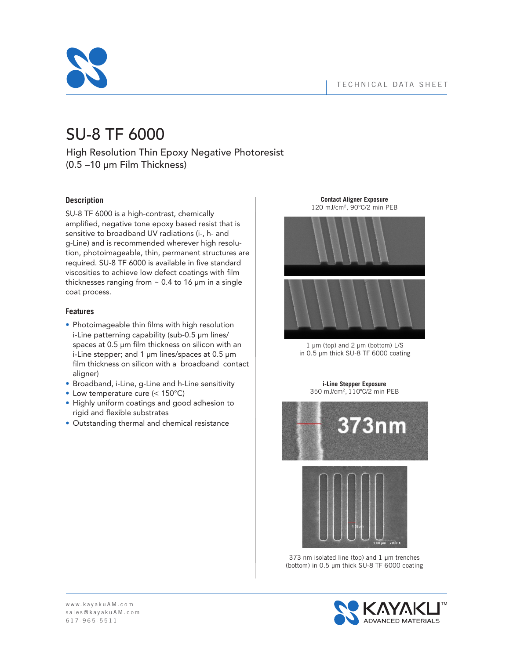

# SU-8 TF 6000

High Resolution Thin Epoxy Negative Photoresist (0.5 –10 µm Film Thickness)

# **Description**

SU-8 TF 6000 is a high-contrast, chemically amplified, negative tone epoxy based resist that is sensitive to broadband UV radiations (i-, h- and g-Line) and is recommended wherever high resolution, photoimageable, thin, permanent structures are required. SU-8 TF 6000 is available in five standard viscosities to achieve low defect coatings with film thicknesses ranging from  $\sim$  0.4 to 16  $\mu$ m in a single coat process.

# **Features**

- Photoimageable thin films with high resolution i-Line patterning capability (sub-0.5 µm lines/ spaces at 0.5 µm film thickness on silicon with an i-Line stepper; and 1 µm lines/spaces at 0.5 µm film thickness on silicon with a broadband contact aligner)
- Broadband, i-Line, g-Line and h-Line sensitivity
- Low temperature cure (< 150°C)
- Highly uniform coatings and good adhesion to rigid and flexible substrates
- Outstanding thermal and chemical resistance

**Contact Aligner Exposure** 120 mJ/cm2, 90°C/2 min PEB



 $1 \mu m$  (top) and  $2 \mu m$  (bottom) L/S in 0.5 µm thick SU-8 TF 6000 coating

**i-Line Stepper Exposure**  350 mJ/cm2, 110ºC/2 min PEB



373 nm isolated line (top) and  $1 \mu$ m trenches (bottom) in 0.5 µm thick SU-8 TF 6000 coating

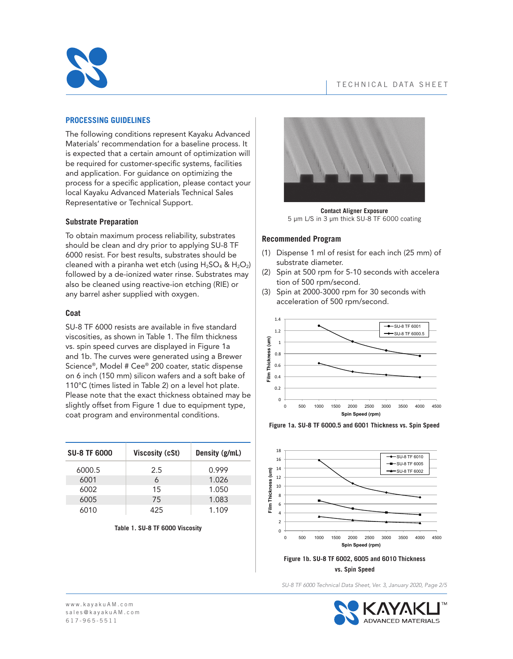

## **PROCESSING GUIDELINES**

The following conditions represent Kayaku Advanced Materials' recommendation for a baseline process. It is expected that a certain amount of optimization will be required for customer-specific systems, facilities and application. For guidance on optimizing the process for a specific application, please contact your local Kayaku Advanced Materials Technical Sales Representative or Technical Support.

## **Substrate Preparation**

To obtain maximum process reliability, substrates should be clean and dry prior to applying SU-8 TF 6000 resist. For best results, substrates should be cleaned with a piranha wet etch (using  $H_2SO_4$  &  $H_2O_2$ ) followed by a de-ionized water rinse. Substrates may also be cleaned using reactive-ion etching (RIE) or any barrel asher supplied with oxygen.

## **Coat**

SU-8 TF 6000 resists are available in five standard viscosities, as shown in Table 1. The film thickness vs. spin speed curves are displayed in Figure 1a and 1b. The curves were generated using a Brewer Science®, Model # Cee® 200 coater, static dispense on 6 inch (150 mm) silicon wafers and a soft bake of 110°C (times listed in Table 2) on a level hot plate. Please note that the exact thickness obtained may be slightly offset from Figure 1 due to equipment type, coat program and environmental conditions.

| <b>SU-8 TF 6000</b> | <b>Viscosity (cSt)</b> | Density (g/mL) |
|---------------------|------------------------|----------------|
| 6000.5              | 2.5                    | 0.999          |
| 6001                | 6                      | 1.026          |
| 6002                | 15                     | 1.050          |
| 6005                | 75                     | 1.083          |
| 6010                | 425                    | 1.109          |

#### **Table 1. SU-8 TF 6000 Viscosity**



**Contact Aligner Exposure** 5 µm L/S in 3 µm thick SU-8 TF 6000 coating

#### **Recommended Program**

- (1) Dispense 1 ml of resist for each inch (25 mm) of substrate diameter.
- (2) Spin at 500 rpm for 5-10 seconds with accelera tion of 500 rpm/second.
- (3) Spin at 2000-3000 rpm for 30 seconds with acceleration of 500 rpm/second.



**Figure 1a. SU-8 TF 6000.5 and 6001 Thickness vs. Spin Speed**



**Figure 1b. SU-8 TF 6002, 6005 and 6010 Thickness vs. Spin Speed**

*SU-8 TF 6000 Technical Data Sheet, Ver. 3, January 2020, Page 2/5*

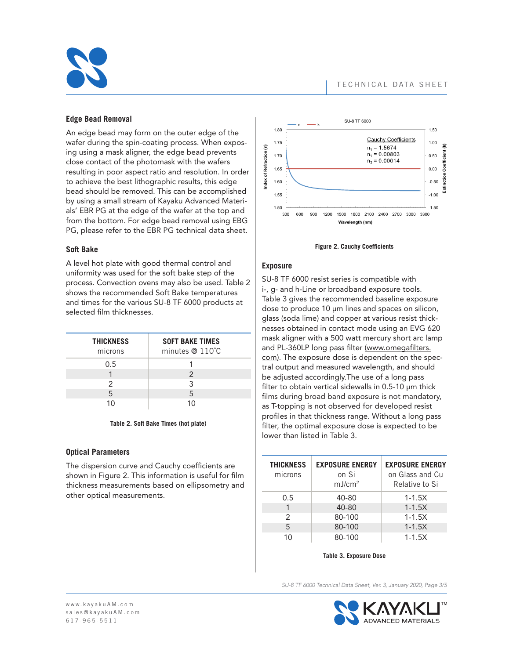

## **Edge Bead Removal**

An edge bead may form on the outer edge of the wafer during the spin-coating process. When exposing using a mask aligner, the edge bead prevents close contact of the photomask with the wafers resulting in poor aspect ratio and resolution. In order to achieve the best lithographic results, this edge bead should be removed. This can be accomplished by using a small stream of Kayaku Advanced Materials' EBR PG at the edge of the wafer at the top and from the bottom. For edge bead removal using EBG PG, please refer to the EBR PG technical data sheet.

## **Soft Bake**

A level hot plate with good thermal control and uniformity was used for the soft bake step of the process. Convection ovens may also be used. Table 2 shows the recommended Soft Bake temperatures and times for the various SU-8 TF 6000 products at selected film thicknesses.

| <b>THICKNESS</b><br>microns | <b>SOFT BAKE TIMES</b><br>minutes $@110°C$ |
|-----------------------------|--------------------------------------------|
| 0.5                         |                                            |
|                             | $\mathcal{P}$                              |
| 2                           | 3                                          |
| 5                           | 5                                          |
| 1∩                          | 10                                         |

#### **Table 2. Soft Bake Times (hot plate)**

## **Optical Parameters**

The dispersion curve and Cauchy coefficients are shown in Figure 2. This information is useful for film thickness measurements based on ellipsometry and other optical measurements.



**Figure 2. Cauchy Coefficients**

## **Exposure**

SU-8 TF 6000 resist series is compatible with i-, g- and h-Line or broadband exposure tools. Table 3 gives the recommended baseline exposure dose to produce 10 µm lines and spaces on silicon, glass (soda lime) and copper at various resist thicknesses obtained in contact mode using an EVG 620 mask aligner with a 500 watt mercury short arc lamp and PL-360LP long pass filter (www.omegafilters. com). The exposure dose is dependent on the spectral output and measured wavelength, and should be adjusted accordingly.The use of a long pass filter to obtain vertical sidewalls in 0.5-10 µm thick films during broad band exposure is not mandatory, as T-topping is not observed for developed resist profiles in that thickness range. Without a long pass filter, the optimal exposure dose is expected to be lower than listed in Table 3.

| <b>THICKNESS</b><br>microns | <b>EXPOSURE ENERGY</b><br>on Si<br>mJ/cm <sup>2</sup> | <b>EXPOSURE ENERGY</b><br>on Glass and Cu<br>Relative to Si |
|-----------------------------|-------------------------------------------------------|-------------------------------------------------------------|
| 0.5                         | 40-80                                                 | $1 - 1.5X$                                                  |
| 1                           | 40-80                                                 | $1 - 1.5X$                                                  |
| 2                           | 80-100                                                | $1 - 1.5X$                                                  |
| 5                           | 80-100                                                | $1 - 1.5X$                                                  |
| 10                          | 80-100                                                | $1 - 1.5X$                                                  |

**Table 3. Exposure Dose**

*SU-8 TF 6000 Technical Data Sheet, Ver. 3, January 2020, Page 3/5*

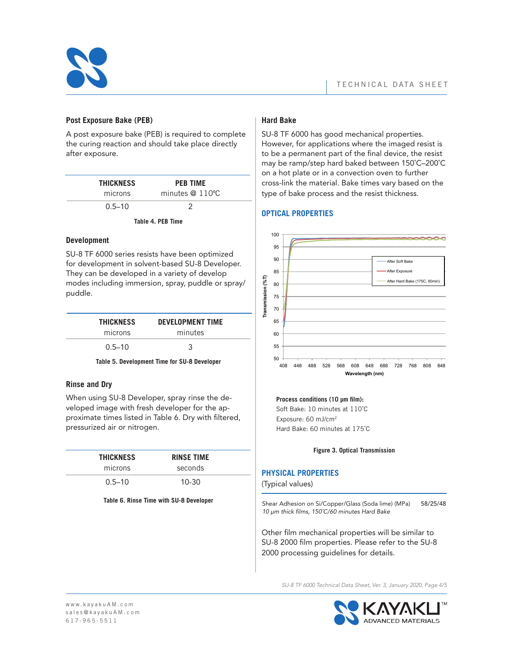

# **Post Exposure Bake (PEB)**

A post exposure bake (PEB) is required to complete the curing reaction and should take place directly after exposure.

| <b>THICKNESS</b><br>microns | <b>PEB TIME</b><br>minutes $@110°C$ |  |
|-----------------------------|-------------------------------------|--|
| $0.5 - 10$                  |                                     |  |

**Table 4. PEB Time**

## **Development**

SU-8 TF 6000 series resists have been optimized for development in solvent-based SU-8 Developer. They can be developed in a variety of develop modes including immersion, spray, puddle or spray/ puddle.

| <b>THICKNESS</b> | <b>DEVELOPMENT TIME</b> |
|------------------|-------------------------|
| microns          | minutes                 |
| $0.5 - 10$       | 3                       |

#### **Table 5. Development Time for SU-8 Developer**

## **Rinse and Dry**

When using SU-8 Developer, spray rinse the developed image with fresh developer for the approximate times listed in Table 6. Dry with filtered, pressurized air or nitrogen.

| <b>THICKNESS</b> | <b>RINSE TIME</b> |  |
|------------------|-------------------|--|
| microns          | seconds           |  |
| $0.5 - 10$       | $10 - 30$         |  |

#### **Table 6. Rinse Time with SU-8 Developer**

# **Hard Bake**

SU-8 TF 6000 has good mechanical properties. However, for applications where the imaged resist is to be a permanent part of the final device, the resist may be ramp/step hard baked between 150˚C–200˚C on a hot plate or in a convection oven to further cross-link the material. Bake times vary based on the type of bake process and the resist thickness.

## **OPTICAL PROPERTIES**



#### Process conditions (10 µm film):

 Soft Bake: 10 minutes at 110˚C Exposure: 60 mJ/cm2 Hard Bake: 60 minutes at 175˚C

#### **Figure 3. Optical Transmission**

# **PHYSICAL PROPERTIES**

(Typical values)

Shear Adhesion on Si/Copper/Glass (Soda lime) (MPa) 58/25/48 *10 µm thick films, 150˚C/60 minutes Hard Bake*

Other film mechanical properties will be similar to SU-8 2000 film properties. Please refer to the SU-8 2000 processing guidelines for details.

*SU-8 TF 6000 Technical Data Sheet, Ver. 3, January 2020, Page 4/5*